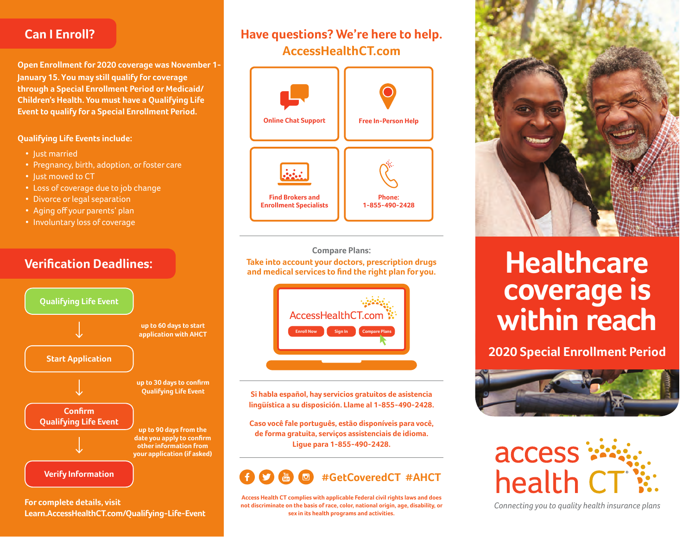### **Can I Enroll?**

**January 15. You may still qualify for coverage Open Enrollment for 2020 coverage was November 1 through a Special Enrollment Period or Medicaid/ Children's Health. You must have a Qualifying Life Event to qualify for a Special Enrollment Period.**

#### **Qualifying Life Events include:**

- Just married
- Pregnancy, birth, adoption, or foster care
- Just moved to CT
- Loss of coverage due to job change
- Divorce or legal separation
- Aging off your parents' plan
- Involuntary loss of coverage

### **Verification Deadlines:**



**For complete details, visit Learn.AccessHealthCT.com/Qualifying-Life-Event**

## **Have questions? We're here to help. AccessHealthCT.com**



**Compare Plans: Take into account your doctors, prescription drugs and medical services to find the right plan for you.**



**Si habla español, hay servicios gratuitos de asistencia lingüística a su disposición. Llame al 1-855-490-2428.**

**Caso você fale português, estão disponíveis para você, de forma gratuita, serviços assistenciais de idioma. Ligue para 1-855-490-2428.**

# **#GetCoveredCT #AHCT**

**Access Health CT complies with applicable Federal civil rights laws and does not discriminate on the basis of race, color, national origin, age, disability, or sex in its health programs and activities.**



# **Healthcare coverage is within reach**

**2020 Special Enrollment Period**





*Connecting you to quality health insurance plans*